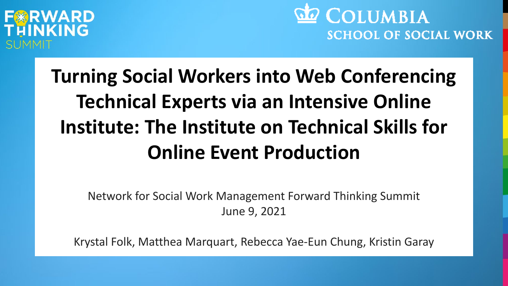### WARD INKING

**do** COLUMBIA **SCHOOL OF SOCIAL WORK** 

## **Turning Social Workers into Web Conferencing Technical Experts via an Intensive Online Institute: The Institute on Technical Skills for Online Event Production**

Network for Social Work Management Forward Thinking Summit June 9, 2021

Krystal Folk, Matthea Marquart, Rebecca Yae-Eun Chung, Kristin Garay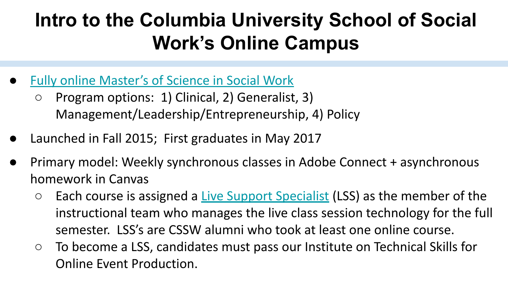### **Intro to the Columbia University School of Social Work's Online Campus**

- **[Fully online Master's of Science in Social Work](https://socialwork.columbia.edu/academics/online-msw/)** 
	- Program options: 1) Clinical, 2) Generalist, 3) Management/Leadership/Entrepreneurship, 4) Policy
- Launched in Fall 2015; First graduates in May 2017
- Primary model: Weekly synchronous classes in Adobe Connect + asynchronous homework in Canvas
	- Each course is assigned a <u>Live Support Specialist</u> (LSS) as the member of the instructional team who manages the live class session technology for the full semester. LSS's are CSSW alumni who took at least one online course.
	- To become a LSS, candidates must pass our Institute on Technical Skills for Online Event Production.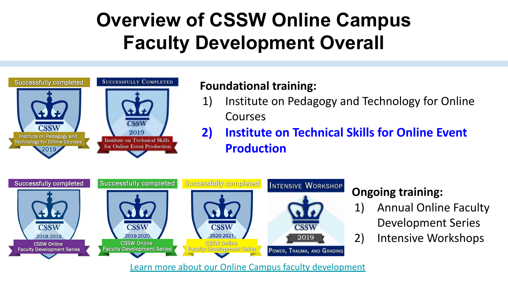### **Overview of CSSW Online Campus Faculty Development Overall**



#### **Foundational training:**

- 1) Institute on Pedagogy and Technology for Online Courses
- **2) Institute on Technical Skills for Online Event Production**



#### **Ongoing training:**

- 1) Annual Online Faculty Development Series
- 2) Intensive Workshops

[Learn more about our Online Campus faculty development](https://doi.org/10.7916/d8-hjhf-wf93)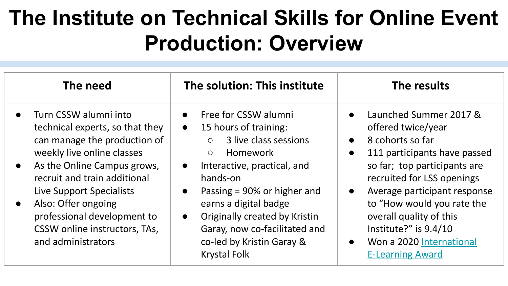## **The Institute on Technical Skills for Online Event Production: Overview**

| The need                                                                                                                                                                                                                                                                                                                                    | The solution: This institute                                                                                                                                                                                                                                                                                                                                                                                 | The results                                                                                                                                                                                                                                                                                                                                                                                                |
|---------------------------------------------------------------------------------------------------------------------------------------------------------------------------------------------------------------------------------------------------------------------------------------------------------------------------------------------|--------------------------------------------------------------------------------------------------------------------------------------------------------------------------------------------------------------------------------------------------------------------------------------------------------------------------------------------------------------------------------------------------------------|------------------------------------------------------------------------------------------------------------------------------------------------------------------------------------------------------------------------------------------------------------------------------------------------------------------------------------------------------------------------------------------------------------|
| Turn CSSW alumni into<br>technical experts, so that they<br>can manage the production of<br>weekly live online classes<br>As the Online Campus grows,<br>$\bullet$<br>recruit and train additional<br>Live Support Specialists<br>Also: Offer ongoing<br>professional development to<br>CSSW online instructors, TAs,<br>and administrators | Free for CSSW alumni<br>$\bullet$<br>15 hours of training:<br>$\bullet$<br>3 live class sessions<br>$\circ$<br><b>Homework</b><br>$\circ$<br>Interactive, practical, and<br>$\bullet$<br>hands-on<br>Passing $= 90\%$ or higher and<br>$\bullet$<br>earns a digital badge<br>Originally created by Kristin<br>$\bullet$<br>Garay, now co-facilitated and<br>co-led by Kristin Garay &<br><b>Krystal Folk</b> | Launched Summer 2017 &<br>$\bullet$<br>offered twice/year<br>8 cohorts so far<br>$\bullet$<br>111 participants have passed<br>$\bullet$<br>so far; top participants are<br>recruited for LSS openings<br>Average participant response<br>$\bullet$<br>to "How would you rate the<br>overall quality of this<br>Institute?" is $9.4/10$<br>Won a 2020 International<br>$\bullet$<br><b>E-Learning Award</b> |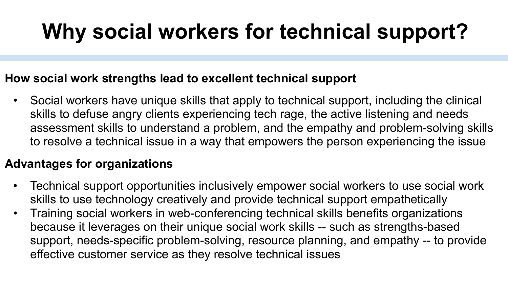## **Why social workers for technical support?**

#### **How social work strengths lead to excellent technical support**

• Social workers have unique skills that apply to technical support, including the clinical skills to defuse angry clients experiencing tech rage, the active listening and needs assessment skills to understand a problem, and the empathy and problem-solving skills to resolve a technical issue in a way that empowers the person experiencing the issue

#### **Advantages for organizations**

- Technical support opportunities inclusively empower social workers to use social work skills to use technology creatively and provide technical support empathetically
- Training social workers in web-conferencing technical skills benefits organizations because it leverages on their unique social work skills -- such as strengths-based support, needs-specific problem-solving, resource planning, and empathy -- to provide effective customer service as they resolve technical issues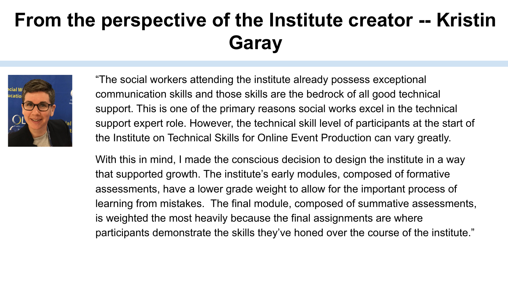### **From the perspective of the Institute creator -- Kristin Garay**



"The social workers attending the institute already possess exceptional communication skills and those skills are the bedrock of all good technical support. This is one of the primary reasons social works excel in the technical support expert role. However, the technical skill level of participants at the start of the Institute on Technical Skills for Online Event Production can vary greatly.

With this in mind, I made the conscious decision to design the institute in a way that supported growth. The institute's early modules, composed of formative assessments, have a lower grade weight to allow for the important process of learning from mistakes. The final module, composed of summative assessments, is weighted the most heavily because the final assignments are where participants demonstrate the skills they've honed over the course of the institute."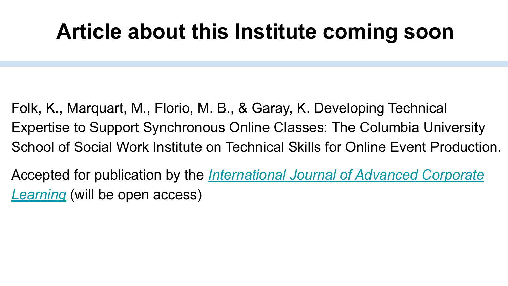## **Article about this Institute coming soon**

- Folk, K., Marquart, M., Florio, M. B., & Garay, K. Developing Technical Expertise to Support Synchronous Online Classes: The Columbia University School of Social Work Institute on Technical Skills for Online Event Production.
- Accepted for publication by the *[International Journal of Advanced Corporate](https://online-journals.org/index.php/i-jac) [Learning](https://online-journals.org/index.php/i-jac)* (will be open access)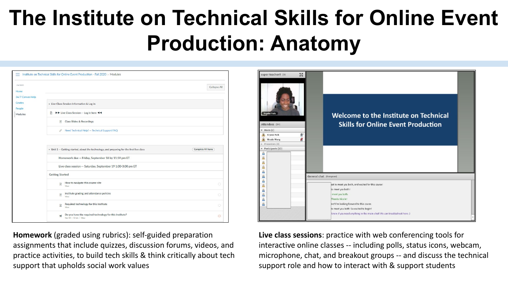## **The Institute on Technical Skills for Online Event Production: Anatomy**

| Fall 2020        |                                                                                                                                                  | Collapse All              |  |
|------------------|--------------------------------------------------------------------------------------------------------------------------------------------------|---------------------------|--|
| Home             |                                                                                                                                                  |                           |  |
| 24/7 Canvas Help |                                                                                                                                                  |                           |  |
| Grades<br>People | • Live Class Session Information & Log in                                                                                                        |                           |  |
| Modules          | ID Live Class Session -- Log in here 44<br>$\mathbb{R}$                                                                                          |                           |  |
|                  | Class Slides & Recordings<br>$\overline{u}$                                                                                                      |                           |  |
|                  | Need Technical Help? -- Technical Support FAQ<br>8                                                                                               |                           |  |
|                  | v Unit 1 -- Getting started, about the technology, and preparing for the first live class<br>Homework due -- Friday, September 18 by 11:59 pm ET | <b>Complete All Items</b> |  |
|                  | Live class session -- Saturday, September 19 1:00-3:00 pm ET                                                                                     |                           |  |
|                  | <b>Getting Started</b>                                                                                                                           |                           |  |
|                  | How to navigate this course site<br>$\mathbb{R}$<br>View                                                                                         | $\bigcirc$                |  |
|                  | Institute grading and attendance policies<br>$\mathbb{R}$<br>View                                                                                | $\circ$                   |  |
|                  |                                                                                                                                                  |                           |  |
|                  | Required technology for this Institute<br>$\mathbb{P}$<br>View                                                                                   | ö                         |  |

**Homework** (graded using rubrics): self-guided preparation assignments that include quizzes, discussion forums, videos, and practice activities, to build tech skills & think critically about tech support that upholds social work values



**Live class sessions**: practice with web conferencing tools for interactive online classes -- including polls, status icons, webcam, microphone, chat, and breakout groups -- and discuss the technical support role and how to interact with & support students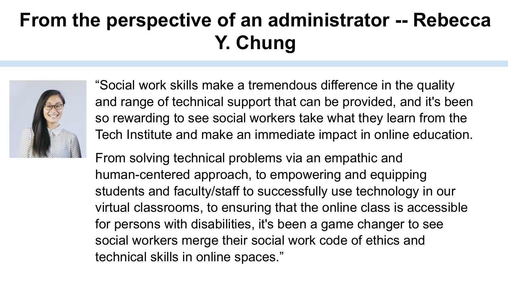### **From the perspective of an administrator -- Rebecca Y. Chung**



"Social work skills make a tremendous difference in the quality and range of technical support that can be provided, and it's been so rewarding to see social workers take what they learn from the Tech Institute and make an immediate impact in online education.

From solving technical problems via an empathic and human-centered approach, to empowering and equipping students and faculty/staff to successfully use technology in our virtual classrooms, to ensuring that the online class is accessible for persons with disabilities, it's been a game changer to see social workers merge their social work code of ethics and technical skills in online spaces."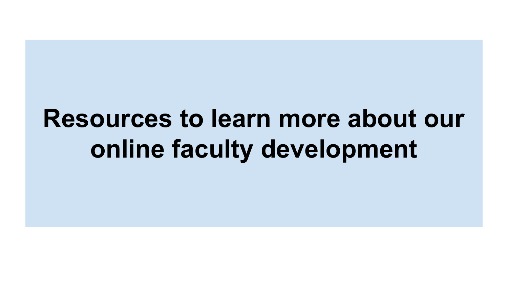# **Resources to learn more about our online faculty development**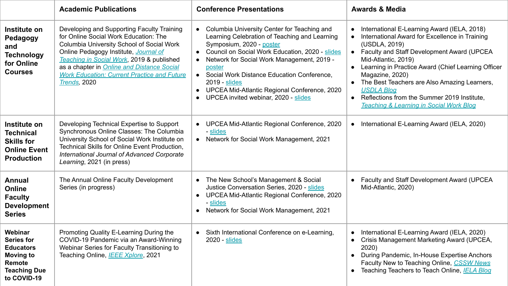|                                                                                                                      | <b>Academic Publications</b>                                                                                                                                                                                                                                                                                                                      | <b>Conference Presentations</b>                                                                                                                                                                                                                                                                                                                                                                        | <b>Awards &amp; Media</b>                                                                                                                                                                                                                                                                                                                                                                                                                        |
|----------------------------------------------------------------------------------------------------------------------|---------------------------------------------------------------------------------------------------------------------------------------------------------------------------------------------------------------------------------------------------------------------------------------------------------------------------------------------------|--------------------------------------------------------------------------------------------------------------------------------------------------------------------------------------------------------------------------------------------------------------------------------------------------------------------------------------------------------------------------------------------------------|--------------------------------------------------------------------------------------------------------------------------------------------------------------------------------------------------------------------------------------------------------------------------------------------------------------------------------------------------------------------------------------------------------------------------------------------------|
| Institute on<br>Pedagogy<br>and<br><b>Technology</b><br>for Online<br><b>Courses</b>                                 | Developing and Supporting Faculty Training<br>for Online Social Work Education: The<br>Columbia University School of Social Work<br>Online Pedagogy Institute, Journal of<br>Teaching in Social Work, 2019 & published<br>as a chapter in <b>Online and Distance Social</b><br><b>Work Education: Current Practice and Future</b><br>Trends, 2020 | • Columbia University Center for Teaching and<br>Learning Celebration of Teaching and Learning<br>Symposium, 2020 - poster<br>• Council on Social Work Education, 2020 - slides<br>• Network for Social Work Management, 2019 -<br>poster<br>• Social Work Distance Education Conference,<br>2019 - slides<br>• UPCEA Mid-Atlantic Regional Conference, 2020<br>• UPCEA invited webinar, 2020 - slides | International E-Learning Award (IELA, 2018)<br>International Award for Excellence in Training<br>$\bullet$<br>(USDLA, 2019)<br>• Faculty and Staff Development Award (UPCEA<br>Mid-Atlantic, 2019)<br>• Learning in Practice Award (Chief Learning Officer<br>Magazine, 2020)<br>• The Best Teachers are Also Amazing Learners,<br><b>USDLA Blog</b><br>• Reflections from the Summer 2019 Institute,<br>Teaching & Learning in Social Work Blog |
| Institute on<br><b>Technical</b><br><b>Skills for</b><br><b>Online Event</b><br><b>Production</b>                    | Developing Technical Expertise to Support<br>Synchronous Online Classes: The Columbia<br>University School of Social Work Institute on<br>Technical Skills for Online Event Production.<br>International Journal of Advanced Corporate<br>Learning, 2021 (in press)                                                                               | • UPCEA Mid-Atlantic Regional Conference, 2020<br>- slides<br>• Network for Social Work Management, 2021                                                                                                                                                                                                                                                                                               | • International E-Learning Award (IELA, 2020)                                                                                                                                                                                                                                                                                                                                                                                                    |
| Annual<br>Online<br><b>Faculty</b><br><b>Development</b><br><b>Series</b>                                            | The Annual Online Faculty Development<br>Series (in progress)                                                                                                                                                                                                                                                                                     | • The New School's Management & Social<br>Justice Conversation Series, 2020 - slides<br>• UPCEA Mid-Atlantic Regional Conference, 2020<br>- slides<br>• Network for Social Work Management, 2021                                                                                                                                                                                                       | • Faculty and Staff Development Award (UPCEA<br>Mid-Atlantic, 2020)                                                                                                                                                                                                                                                                                                                                                                              |
| Webinar<br><b>Series for</b><br><b>Educators</b><br><b>Moving to</b><br>Remote<br><b>Teaching Due</b><br>to COVID-19 | Promoting Quality E-Learning During the<br>COVID-19 Pandemic via an Award-Winning<br>Webinar Series for Faculty Transitioning to<br>Teaching Online, <b>IEEE Xplore</b> , 2021                                                                                                                                                                    | • Sixth International Conference on e-Learning,<br>2020 - slides                                                                                                                                                                                                                                                                                                                                       | International E-Learning Award (IELA, 2020)<br>Crisis Management Marketing Award (UPCEA,<br>$\bullet$<br>2020)<br>• During Pandemic, In-House Expertise Anchors<br>Faculty New to Teaching Online, CSSW News<br>• Teaching Teachers to Teach Online, IELA Blog                                                                                                                                                                                   |